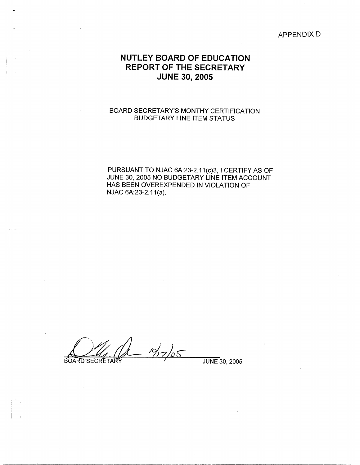#### APPENDIX D

# **NUTLEY BOARD OF EDUCATION REPORT OF THE SECRETARY JUNE 30, 2005**

#### BOARD SECRETARY'S MONTHY CERTIFICATION BUDGETARY LINE ITEM STATUS

PURSUANT TO NJAC 6A:23-2.11(c)3, I CERTIFY AS OF JUNE 30, 2005 NO BUDGETARY LINE ITEM ACCOUNT HAS BEEN OVEREXPENDED IN VIOLATION OF NJAC 6A:23-2.11(a).

 $19/7/05$ BOARD SECRETAR

 $\vert \hspace{.06cm} \vert$ 

JUNE 30, 2005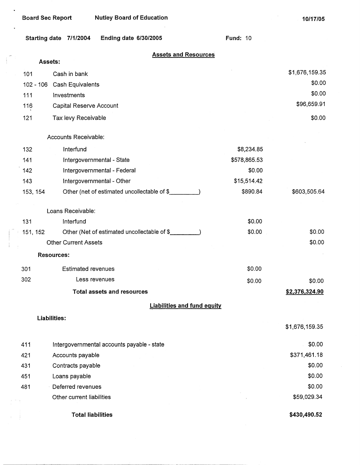$\bullet$ 

 $\sim$ 

|             | Ending date 6/30/2005<br>Starting date 7/1/2004 | <b>Fund: 10</b> |                       |
|-------------|-------------------------------------------------|-----------------|-----------------------|
|             | <b>Assets and Resources</b><br>Assets:          |                 |                       |
| 101         | Cash in bank                                    |                 | \$1,676,159.35        |
| $102 - 106$ | Cash Equivalents                                |                 | \$0.00                |
| 111         | Investments                                     |                 | \$0.00                |
| 116         | Capital Reserve Account                         |                 | \$96,659.91           |
| 121         | Tax levy Receivable                             |                 | \$0.00                |
|             | Accounts Receivable:                            |                 |                       |
| 132         | Interfund                                       | \$8,234.85      |                       |
| 141         | Intergovernmental - State                       | \$578,865.53    |                       |
| 142         | Intergovernmental - Federal                     | \$0.00          |                       |
| 143         | Intergovernmental - Other                       | \$15,514.42     |                       |
| 153, 154    | Other (net of estimated uncollectable of \$     | \$890.84        | \$603,505.64          |
|             | Loans Receivable:                               |                 |                       |
| 131         | Interfund                                       | \$0.00          |                       |
| 151, 152    | Other (Net of estimated uncollectable of \$     | \$0.00          | \$0.00                |
|             | <b>Other Current Assets</b>                     |                 | \$0.00                |
|             | <b>Resources:</b>                               |                 |                       |
| 301         | <b>Estimated revenues</b>                       | \$0.00          |                       |
| 302         | Less revenues                                   | \$0.00          | \$0.00                |
|             | <b>Total assets and resources</b>               |                 | <u>\$2,376,324.90</u> |
|             | <b>Liabilities and fund equity</b>              |                 |                       |
|             | Liabilities:                                    |                 | \$1,676,159.35        |
| 411         | Intergovernmental accounts payable - state      |                 | \$0.00                |
| 421         | Accounts payable                                |                 | \$371,461.18          |
| 431         | Contracts payable                               |                 | \$0.00                |
| 451         | Loans payable                                   |                 | \$0.00                |
| 481         | Deferred revenues                               |                 | \$0.00                |
|             | Other current liabilities                       |                 | \$59,029.34           |

**Total liabilities** 

**\$430,490.52**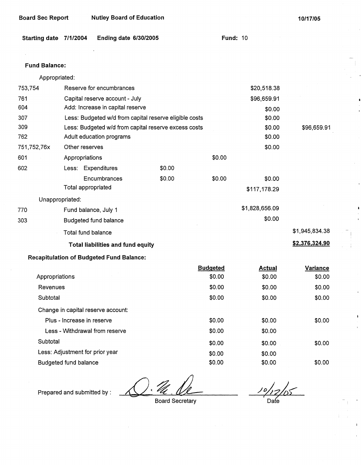| <b>Nutley Board of Education</b><br>Board Sec Report | 10/17/05 |
|------------------------------------------------------|----------|
|------------------------------------------------------|----------|

|  |  | Starting date 7/1/2004 Ending date 6/30/2005 | <b>Fund: 10</b> |
|--|--|----------------------------------------------|-----------------|
|--|--|----------------------------------------------|-----------------|

#### **Fund Balance:**

Appropriated:

| 753,754        | Reserve for encumbrances                        |                                                        |                 | \$20,518.38    |                |
|----------------|-------------------------------------------------|--------------------------------------------------------|-----------------|----------------|----------------|
| 761            | Capital reserve account - July                  |                                                        |                 | \$96,659.91    |                |
| 604            | Add: Increase in capital reserve                |                                                        |                 | \$0.00         |                |
| 307            |                                                 | Less: Budgeted w/d from capital reserve eligible costs |                 | \$0.00         |                |
| 309            |                                                 | Less: Budgeted w/d from capital reserve excess costs   |                 | \$0.00         | \$96,659.91    |
| 762            | Adult education programs                        |                                                        |                 | \$0.00         |                |
| 751,752,76x    | Other reserves                                  |                                                        |                 | \$0.00         |                |
| 601            | Appropriations                                  |                                                        | \$0.00          |                |                |
| 602            | Less: Expenditures                              | \$0.00                                                 |                 |                |                |
|                | Encumbrances                                    | \$0.00                                                 | \$0.00          | \$0.00         |                |
|                | Total appropriated                              |                                                        |                 | \$117,178.29   |                |
|                | Unappropriated:                                 |                                                        |                 |                |                |
| 770            | Fund balance, July 1                            |                                                        |                 | \$1,828,656.09 |                |
| 303            | <b>Budgeted fund balance</b>                    |                                                        |                 | \$0.00         |                |
|                | Total fund balance                              |                                                        |                 |                | \$1,945,834.38 |
|                | <b>Total liabilities and fund equity</b>        |                                                        |                 |                | \$2,376,324.90 |
|                | <b>Recapitulation of Budgeted Fund Balance:</b> |                                                        |                 |                |                |
|                |                                                 |                                                        | <b>Budgeted</b> | <b>Actual</b>  | Variance       |
| Appropriations |                                                 |                                                        | \$0.00          | \$0.00         | \$0.00         |
| Revenues       |                                                 |                                                        | \$0.00          | \$0.00         | \$0.00         |
|                | Subtotal                                        |                                                        |                 | \$0.00         | \$0.00         |
|                | Change in capital reserve account:              |                                                        |                 |                |                |
|                | Plus - Increase in reserve                      |                                                        | \$0.00          | \$0.00         | \$0.00         |
|                | Less - Withdrawal from reserve                  |                                                        | \$0.00          | \$0.00         |                |
| Subtotal       |                                                 |                                                        | \$0.00          | \$0.00         | \$0.00         |
|                | Less: Adjustment for prior year                 |                                                        | \$0.00          | \$0.00         |                |

 $\overline{\mathscr{C}}$ 

Prepared and submitted by :

Budgeted fund balance

Board Secretary

\$0.00

*/~7/,<* Dae

\$0.00 \$0.00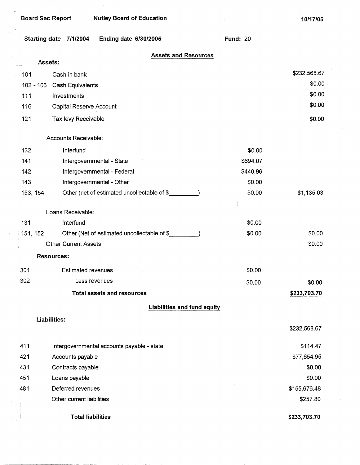$\rightarrow$  1

÷

 $\bar{\mathcal{A}}$ 

**10/17/05** 

|                  | <b>Ending date 6/30/2005</b><br>Starting date 7/1/2004 | <b>Fund: 20</b> |              |
|------------------|--------------------------------------------------------|-----------------|--------------|
|                  | <b>Assets and Resources</b><br>Assets:                 |                 |              |
| $\therefore$ 101 | Cash in bank                                           |                 | \$232,568.67 |
| $102 - 106$      | Cash Equivalents                                       |                 | \$0.00       |
| 111              | Investments                                            |                 | \$0.00       |
| 116              | Capital Reserve Account                                |                 | \$0.00       |
| 121              | Tax levy Receivable                                    |                 | \$0.00       |
|                  | Accounts Receivable:                                   |                 |              |
| 132              | Interfund                                              | \$0.00          |              |
| 141              | Intergovernmental - State                              | \$694.07        |              |
| 142              | Intergovernmental - Federal                            | \$440.96        |              |
| 143              | Intergovernmental - Other                              | \$0.00          |              |
| 153, 154         | Other (net of estimated uncollectable of \$            | \$0.00          | \$1,135.03   |
|                  | Loans Receivable:                                      |                 |              |
| 131              | Interfund                                              | \$0.00          |              |
| 151, 152         | Other (Net of estimated uncollectable of \$            | \$0.00          | \$0.00       |
|                  | <b>Other Current Assets</b>                            |                 | \$0.00       |
|                  | <b>Resources:</b>                                      |                 |              |
| 301              | <b>Estimated revenues</b>                              | \$0.00          |              |
| 302              | Less revenues                                          | \$0.00          | \$0.00       |
|                  | <b>Total assets and resources</b>                      |                 | \$233,703.70 |
|                  | <b>Liabilities and fund equity</b>                     |                 |              |
|                  | <b>Liabilities:</b>                                    |                 | \$232,568.67 |
| 411              | Intergovernmental accounts payable - state             |                 | \$114.47     |
| 421              | Accounts payable                                       |                 | \$77,654.95  |
| 431              | Contracts payable                                      |                 | \$0.00       |
| 451              | Loans payable                                          |                 | \$0.00       |
| 481              | Deferred revenues                                      |                 | \$155,676.48 |
|                  | Other current liabilities                              |                 | \$257.80     |
|                  | <b>Total liabilities</b>                               |                 | \$233,703.70 |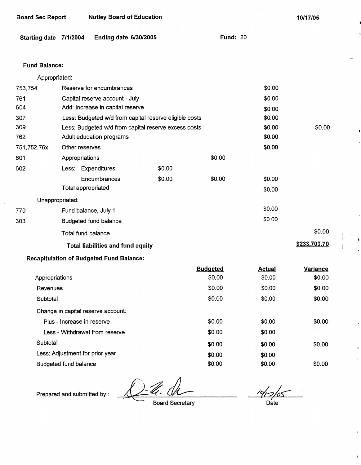| Board Sec Report | <b>Nutley Board of Education</b> |
|------------------|----------------------------------|
|------------------|----------------------------------|

**10/17/05** 

**Fund:** 20

| Starting date 7/1/2004 |  | <b>Ending date 6/30/2005</b> |  |
|------------------------|--|------------------------------|--|
|------------------------|--|------------------------------|--|

## **Fund Balance:**

| Appropriated: |  |
|---------------|--|
|               |  |

|             |                                                        |                                                      | <b>Pudaotod</b> | Actual           | Varianoo     |  |
|-------------|--------------------------------------------------------|------------------------------------------------------|-----------------|------------------|--------------|--|
|             | <b>Recapitulation of Budgeted Fund Balance:</b>        |                                                      |                 |                  |              |  |
|             | <b>Total liabilities and fund equity</b>               |                                                      |                 |                  | \$233,703.70 |  |
|             | <b>Total fund balance</b>                              |                                                      |                 |                  | \$0.00       |  |
| 303         | <b>Budgeted fund balance</b>                           |                                                      |                 | \$0.00           |              |  |
| 770         | Fund balance, July 1                                   |                                                      |                 | \$0.00           |              |  |
|             | Unappropriated:                                        |                                                      |                 |                  |              |  |
|             | <b>Total appropriated</b>                              |                                                      |                 | \$0.00           |              |  |
|             | Encumbrances                                           | \$0.00                                               | \$0.00          | \$0.00           |              |  |
| 602         | Less: Expenditures                                     | \$0.00                                               |                 |                  |              |  |
| 601         | Appropriations                                         |                                                      | \$0.00          |                  |              |  |
| 751,752,76x | Other reserves                                         |                                                      |                 | \$0.00           |              |  |
| 762         | Adult education programs                               |                                                      |                 | \$0.00           |              |  |
| 309         |                                                        | Less: Budgeted w/d from capital reserve excess costs |                 |                  |              |  |
| 307         | Less: Budgeted w/d from capital reserve eligible costs |                                                      |                 | \$0.00<br>\$0.00 |              |  |
| 604         |                                                        | Add: Increase in capital reserve                     |                 |                  |              |  |
| 761         | Capital reserve account - July                         |                                                      |                 | \$0.00           |              |  |
| 753,754     | Reserve for encumbrances                               |                                                      |                 | \$0.00           |              |  |

|        | <b>Actual</b>                                                                                                              | Variance |
|--------|----------------------------------------------------------------------------------------------------------------------------|----------|
| \$0.00 | \$0.00                                                                                                                     | \$0.00   |
| \$0.00 | \$0.00                                                                                                                     | \$0.00   |
| \$0.00 | \$0.00                                                                                                                     | \$0.00   |
|        |                                                                                                                            |          |
| \$0.00 | \$0.00                                                                                                                     | \$0.00   |
| \$0.00 | \$0.00                                                                                                                     |          |
| \$0.00 | \$0.00                                                                                                                     | \$0.00   |
| \$0.00 | \$0.00                                                                                                                     |          |
| \$0.00 | \$0.00                                                                                                                     | \$0.00   |
|        | <b>Budgeted</b><br>Change in capital reserve account:<br>Less - Withdrawal from reserve<br>Less: Adjustment for prior year |          |

 $-\mathscr{U}.$ 

Prepared and submitted by :

Board Secretary

7 Date

 $\mathbf{I}$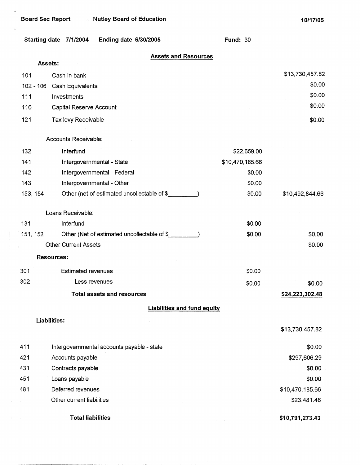**\$10,791,273.43** 

#### **Starting date 7/1/2004 Ending date 6/30/2005 Assets:**  101 Cash in bank 102 - 106 Cash Equivalents 111 Investments 116 121 132 141 142 Capital Reserve Account Tax levy Receivable Accounts Receivable: lnterfund Intergovernmental - State Intergovernmental - Federal Intergovernmental - Other **Assets and Resources**  143 153, 154 Other (net of estimated uncollectable of \$ 131 151,152 Loans Receivable: lnterfund Other (Net of estimated uncollectable of \$ Other Current Assets **Resources:**  301 302 411 421 431 451 481 Estimated revenues Less revenues **Total assets and resources Liabilities: Liabilities and fund equity**  Intergovernmental accounts payable - state Accounts payable Contracts payable Loans payable Deferred revenues Other current liabilities **Total liabilities Fund:** 30 \$22,659.00 \$10,470,185.66 \$0.00 \$0.00 \$0.00 \$0.00 \$0.00 \$0.00 \$0.00 \$13,730,457.82 \$0.00 \$0.00 \$0.00 \$0.00 \$10,492,844.66 \$0.00 \$0.00 \$0.00 **\$24.223,302.48**  \$13,730,457.82 \$0.00 \$297,606.29 \$0.00 \$0.00 \$10,470,185.66 \$23,481.48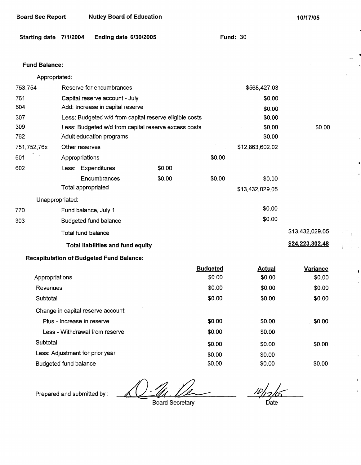| Starting date 7/1/2004 |                                 | Ending date 6/30/2005                                  |        |                 | <b>Fund: 30</b> |                 |
|------------------------|---------------------------------|--------------------------------------------------------|--------|-----------------|-----------------|-----------------|
| <b>Fund Balance:</b>   |                                 |                                                        |        |                 |                 |                 |
| Appropriated:          |                                 |                                                        |        |                 |                 |                 |
| 753,754                |                                 | Reserve for encumbrances                               |        |                 | \$568,427.03    |                 |
| 761                    |                                 | Capital reserve account - July                         |        |                 | \$0.00          |                 |
| 604                    |                                 | Add: Increase in capital reserve                       |        |                 | \$0.00          |                 |
| 307                    |                                 | Less: Budgeted w/d from capital reserve eligible costs |        |                 | \$0.00          |                 |
| 309                    |                                 | Less: Budgeted w/d from capital reserve excess costs   |        |                 | \$0.00          | \$0.00          |
| 762                    |                                 | Adult education programs                               |        |                 | \$0.00          |                 |
| 751,752,76x            | Other reserves                  |                                                        |        |                 | \$12,863,602.02 |                 |
| 601                    | Appropriations                  |                                                        |        | \$0.00          |                 |                 |
| 602                    | Less: Expenditures              |                                                        | \$0.00 |                 |                 |                 |
|                        |                                 | Encumbrances                                           | \$0.00 | \$0.00          | \$0.00          |                 |
|                        | Total appropriated              |                                                        |        |                 | \$13,432,029.05 |                 |
|                        | Unappropriated:                 |                                                        |        |                 |                 |                 |
| 770                    | Fund balance, July 1            |                                                        |        |                 | \$0.00          |                 |
| 303                    |                                 | Budgeted fund balance                                  |        |                 | \$0.00          |                 |
|                        | <b>Total fund balance</b>       |                                                        |        |                 |                 | \$13,432,029.05 |
|                        |                                 | <b>Total liabilities and fund equity</b>               |        |                 |                 | \$24,223,302.48 |
|                        |                                 | <b>Recapitulation of Budgeted Fund Balance:</b>        |        |                 |                 |                 |
|                        |                                 |                                                        |        | <b>Budgeted</b> | <b>Actual</b>   | Variance        |
| Appropriations         |                                 |                                                        |        | \$0.00          | \$0.00          | \$0.00          |
| Revenues               |                                 |                                                        |        | \$0.00          | \$0.00          | \$0.00          |
| Subtotal               |                                 |                                                        |        | \$0.00          | \$0.00          | \$0.00          |
|                        |                                 | Change in capital reserve account:                     |        |                 |                 |                 |
|                        | Plus - Increase in reserve      |                                                        |        | \$0.00          | \$0.00          | \$0.00          |
|                        |                                 | Less - Withdrawal from reserve                         |        | \$0.00          | \$0.00          |                 |
| Subtotal               |                                 |                                                        |        | \$0.00          | \$0.00          | \$0.00          |
|                        | Less: Adjustment for prior year |                                                        |        | \$0.00          | \$0.00          |                 |

Prepared and submitted by:

Budgeted fund balance

Board Sec Report Nutley Board of Education

Board Secretary

\$0.00 \$0.00

 $/2/2/65$ Date

\$0.00

\$0.00 \$0.00

**10/17/05**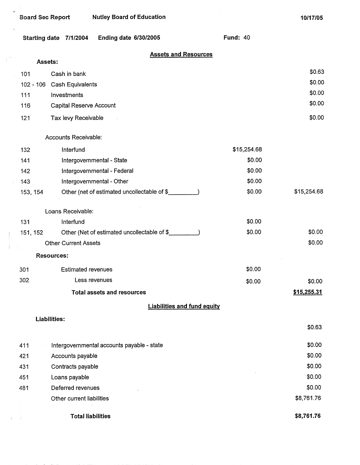$\mathbf{s}$ 

|          | Ending date 6/30/2005<br>Starting date 7/1/2004 | <b>Fund: 40</b> |             |
|----------|-------------------------------------------------|-----------------|-------------|
| Assets:  | <b>Assets and Resources</b>                     |                 |             |
| 101      | Cash in bank                                    |                 | \$0.63      |
|          | 102 - 106 Cash Equivalents                      |                 | \$0.00      |
| 111      | Investments                                     |                 | \$0.00      |
| 116      | Capital Reserve Account                         |                 | \$0.00      |
| 121      |                                                 |                 | \$0.00      |
|          | Tax levy Receivable                             |                 |             |
|          | Accounts Receivable:                            |                 |             |
| 132      | Interfund                                       | \$15,254.68     |             |
| 141      | Intergovernmental - State                       | \$0.00          |             |
| 142      | Intergovernmental - Federal                     | \$0.00          |             |
| 143      | Intergovernmental - Other                       | \$0.00          |             |
| 153, 154 | Other (net of estimated uncollectable of \$     | \$0.00          | \$15,254.68 |
|          | Loans Receivable:                               |                 |             |
| 131      | Interfund                                       | \$0.00          |             |
| 151, 152 | Other (Net of estimated uncollectable of \$     | \$0.00          | \$0.00      |
|          | <b>Other Current Assets</b>                     |                 | \$0.00      |
|          | <b>Resources:</b>                               |                 |             |
| 301      | <b>Estimated revenues</b>                       | \$0.00          |             |
| 302      | Less revenues                                   | \$0.00          | \$0.00      |
|          | <b>Total assets and resources</b>               |                 | \$15,255.31 |
|          | <b>Liabilities and fund equity</b>              |                 |             |
|          | <b>Liabilities:</b>                             |                 |             |
|          |                                                 |                 | \$0.63      |
| 411      | Intergovernmental accounts payable - state      |                 | \$0.00      |
| 421      | Accounts payable                                |                 | \$0.00      |
| 431      | Contracts payable                               |                 | \$0.00      |
| 451      | Loans payable                                   |                 | \$0.00      |
| 481      | Deferred revenues                               |                 | \$0.00      |
|          | Other current liabilities                       |                 | \$8,761.76  |
|          | <b>Total liabilities</b>                        |                 | \$8,761.76  |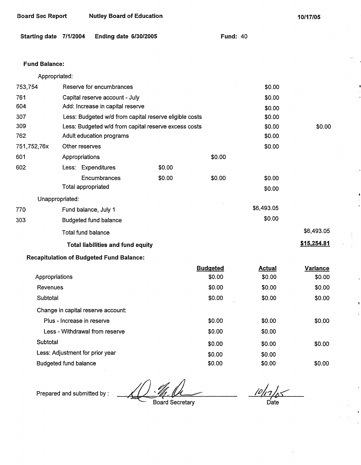| <b>Board Sec Report</b><br><b>Nutley Board of Education</b> |
|-------------------------------------------------------------|
|-------------------------------------------------------------|

**10/17/05** 

 $$0.00$ 

## **Starting date 7/1/2004 Ending date 6/30/2005**

**Fund:** 40

#### **Fund Balance:**

|             | Appropriated:                                          |        |        |            |             |
|-------------|--------------------------------------------------------|--------|--------|------------|-------------|
| 753,754     | Reserve for encumbrances                               |        |        | \$0.00     |             |
| 761         | Capital reserve account - July                         |        |        | \$0.00     |             |
| 604         | Add: Increase in capital reserve                       |        |        | \$0.00     |             |
| 307         | Less: Budgeted w/d from capital reserve eligible costs |        |        | \$0.00     |             |
| 309         | Less: Budgeted w/d from capital reserve excess costs   |        |        | \$0.00     | \$0.00      |
| 762         | Adult education programs                               |        |        | \$0.00     |             |
| 751,752,76x | Other reserves                                         |        |        | \$0.00     |             |
| 601         | Appropriations                                         |        | \$0.00 |            |             |
| 602         | Less: Expenditures                                     | \$0.00 |        |            |             |
|             | Encumbrances                                           | \$0.00 | \$0.00 | \$0.00     |             |
|             | Total appropriated                                     |        |        | \$0.00     |             |
|             | Unappropriated:                                        |        |        |            |             |
| 770         | Fund balance, July 1                                   |        |        | \$6,493.05 |             |
| 303         | <b>Budgeted fund balance</b>                           |        |        | \$0.00     |             |
|             | Total fund balance                                     |        |        |            | \$6,493.05  |
|             | <b>Total liabilities and fund equity</b>               |        |        |            | \$15,254.81 |
|             |                                                        |        |        |            |             |

## **Recapitulation of Budgeted Fund Balance:**

|                                    | <b>Budgeted</b> | <b>Actual</b> | <b>Variance</b> |
|------------------------------------|-----------------|---------------|-----------------|
| Appropriations                     | \$0.00          | \$0.00        | \$0.00          |
| Revenues                           | \$0.00          | \$0.00        | \$0.00          |
| Subtotal                           | \$0.00          | \$0.00        | \$0.00          |
| Change in capital reserve account: |                 |               |                 |
| Plus - Increase in reserve         | \$0.00          | \$0.00        | \$0.00          |
| Less - Withdrawal from reserve     | \$0.00          | \$0.00        |                 |
| Subtotal                           | \$0.00          | \$0.00        | \$0.00          |
| Less: Adjustment for prior year    | \$0.00          | \$0.00        |                 |
| <b>Budgeted fund balance</b>       | \$0.00          | \$0.00        | \$0.00          |

 $\frac{10}{17}$ <sub> $\frac{1}{10}$ </sub>

 $\begin{array}{c} \hline \end{array}$ 

Prepared and submitted by :

Board Secretary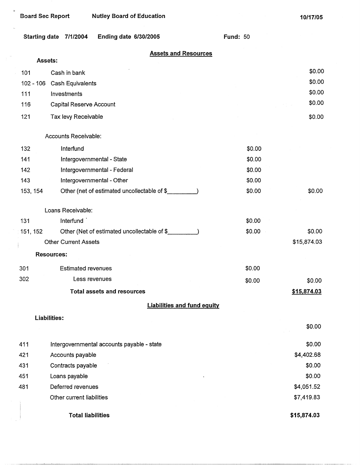| <b>Board Sec Report</b> |                                        | <b>Nutley Board of Education</b>            |                                    |        | 10/17/05    |
|-------------------------|----------------------------------------|---------------------------------------------|------------------------------------|--------|-------------|
|                         | Starting date 7/1/2004                 | Ending date 6/30/2005                       | <b>Fund: 50</b>                    |        |             |
| Assets:                 |                                        | <b>Assets and Resources</b>                 |                                    |        |             |
|                         |                                        |                                             |                                    |        | \$0.00      |
| 101                     | Cash in bank                           |                                             |                                    |        | \$0.00      |
| $102 - 106$<br>111      | <b>Cash Equivalents</b><br>Investments |                                             |                                    |        | \$0.00      |
| 116                     | Capital Reserve Account                |                                             |                                    |        | \$0.00      |
|                         |                                        |                                             |                                    |        |             |
| 121                     | Tax levy Receivable                    |                                             |                                    |        | \$0.00      |
|                         | Accounts Receivable:                   |                                             |                                    |        |             |
| 132                     | Interfund                              |                                             |                                    | \$0.00 |             |
| 141                     |                                        | Intergovernmental - State                   |                                    | \$0.00 |             |
| 142                     |                                        | Intergovernmental - Federal                 |                                    | \$0.00 |             |
| 143                     |                                        | Intergovernmental - Other                   |                                    | \$0.00 |             |
| 153, 154                |                                        | Other (net of estimated uncollectable of \$ |                                    | \$0.00 | \$0.00      |
|                         | Loans Receivable:                      |                                             |                                    |        |             |
| 131                     | Interfund                              |                                             |                                    | \$0.00 |             |
| 151, 152                |                                        | Other (Net of estimated uncollectable of \$ |                                    | \$0.00 | \$0.00      |
|                         | <b>Other Current Assets</b>            |                                             |                                    |        | \$15,874.03 |
|                         | <b>Resources:</b>                      |                                             |                                    |        |             |
| 301                     | <b>Estimated revenues</b>              |                                             |                                    | \$0.00 |             |
| 302                     |                                        | Less revenues                               |                                    | \$0.00 | \$0.00      |
|                         |                                        | <b>Total assets and resources</b>           |                                    |        | \$15,874.03 |
|                         |                                        |                                             | <b>Liabilities and fund equity</b> |        |             |
|                         | <b>Liabilities:</b>                    |                                             |                                    |        |             |
|                         |                                        |                                             |                                    |        | \$0.00      |
| 411                     |                                        | Intergovernmental accounts payable - state  |                                    |        | \$0.00      |
| 421                     | Accounts payable                       |                                             |                                    |        | \$4,402.68  |
| 431                     | Contracts payable                      |                                             |                                    |        | \$0.00      |
| 451                     | Loans payable                          |                                             |                                    |        | \$0.00      |
| 481                     | Deferred revenues                      |                                             |                                    |        | \$4,051.52  |
|                         | Other current liabilities              |                                             |                                    |        | \$7,419.83  |
|                         |                                        | <b>Total liabilities</b>                    |                                    |        | \$15,874.03 |

 $\vert$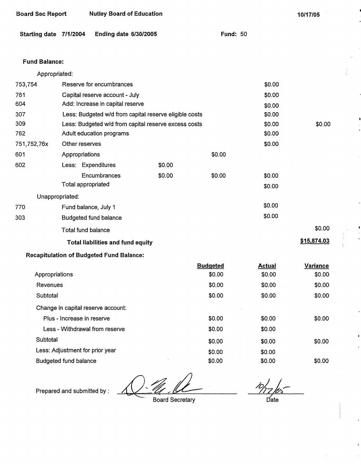| Starting date 7/1/2004 |                            | <b>Ending date 6/30/2005</b>                    |                                                        | <b>Fund: 50</b> |               |                 |
|------------------------|----------------------------|-------------------------------------------------|--------------------------------------------------------|-----------------|---------------|-----------------|
| <b>Fund Balance:</b>   |                            |                                                 |                                                        |                 |               |                 |
| Appropriated:          |                            |                                                 |                                                        |                 |               |                 |
| 753,754                |                            | Reserve for encumbrances                        |                                                        |                 | \$0.00        |                 |
| 761                    |                            | Capital reserve account - July                  |                                                        |                 | \$0.00        |                 |
| 604                    |                            | Add: Increase in capital reserve                |                                                        |                 | \$0.00        |                 |
| 307                    |                            |                                                 | Less: Budgeted w/d from capital reserve eligible costs |                 | \$0.00        |                 |
| 309                    |                            |                                                 | Less: Budgeted w/d from capital reserve excess costs   |                 | \$0.00        | \$0.00          |
| 762                    |                            | Adult education programs                        |                                                        |                 | \$0.00        |                 |
| 751,752,76x            | Other reserves             |                                                 |                                                        |                 | \$0.00        |                 |
| 601                    | Appropriations             |                                                 |                                                        | \$0.00          |               |                 |
| 602                    | Less: Expenditures         |                                                 | \$0.00                                                 |                 |               |                 |
|                        |                            | Encumbrances                                    | \$0.00                                                 | \$0.00          | \$0.00        |                 |
|                        | Total appropriated         |                                                 |                                                        |                 | \$0.00        |                 |
|                        | Unappropriated:            |                                                 |                                                        |                 |               |                 |
| 770                    | Fund balance, July 1       |                                                 |                                                        |                 | \$0.00        |                 |
| 303                    |                            | <b>Budgeted fund balance</b>                    |                                                        |                 | \$0.00        |                 |
|                        | <b>Total fund balance</b>  |                                                 |                                                        |                 |               | \$0.00          |
|                        |                            | <b>Total liabilities and fund equity</b>        |                                                        |                 |               | \$15,874.03     |
|                        |                            | <b>Recapitulation of Budgeted Fund Balance:</b> |                                                        |                 |               |                 |
|                        |                            |                                                 |                                                        | <b>Budgeted</b> | <b>Actual</b> | <b>Variance</b> |
| Appropriations         |                            |                                                 |                                                        | \$0.00          | \$0.00        | \$0.00          |
| Revenues               |                            |                                                 |                                                        | \$0.00          | \$0.00        | \$0.00          |
| Subtotal               |                            |                                                 |                                                        | \$0.00          | \$0.00        | \$0.00          |
|                        |                            | Change in capital reserve account:              |                                                        |                 |               |                 |
|                        | Plus - Increase in reserve |                                                 |                                                        | \$0.00          | \$0.00        | \$0.00          |
|                        |                            | Less - Withdrawal from reserve                  |                                                        | \$0.00          | \$0.00        |                 |
| Subtotal               |                            |                                                 |                                                        | \$0.00          | \$0.00        | \$0.00          |

Less: Adjustment for prior year Budgeted fund balance

Board Sec Report Nutley Board of Education

Prepared and submitted by :

Board Secretary

 $\frac{10}{2}$  bs

\$0.00

\$0.00 \$0.00

\$0.00 \$0.00

10/17/05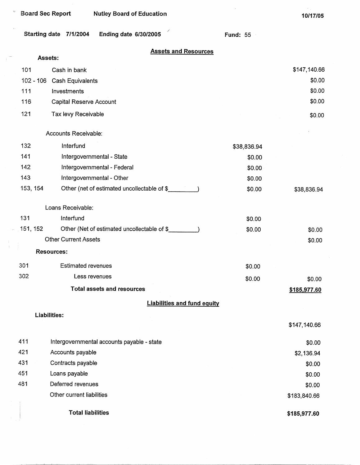$\sim$   $\epsilon$  .

 $\mathbb{R}^{m \times n}$ 

 $\begin{array}{c} 1 \\ 1 \end{array}$ 

**10/17/05** 

| Starting date | 7/1/2004 | Ending date 6/30/2005 |  |
|---------------|----------|-----------------------|--|
|---------------|----------|-----------------------|--|

**Fund:** 55

 $\sim$ 

## **Assets and Resources**

*I* 

|             | Assets:                                     |             |              |
|-------------|---------------------------------------------|-------------|--------------|
| 101         | Cash in bank                                |             | \$147,140.66 |
| $102 - 106$ | Cash Equivalents                            |             | \$0.00       |
| 111         | Investments                                 |             | \$0.00       |
| 116         | Capital Reserve Account                     |             | \$0.00       |
| 121         | Tax levy Receivable                         |             | \$0.00       |
|             | Accounts Receivable:                        |             |              |
| 132         | Interfund                                   | \$38,836.94 |              |
| 141         | Intergovernmental - State                   | \$0.00      |              |
| 142         | Intergovernmental - Federal                 | \$0.00      |              |
| 143         | Intergovernmental - Other                   | \$0.00      |              |
| 153, 154    | Other (net of estimated uncollectable of \$ | \$0.00      | \$38,836.94  |
|             | Loans Receivable:                           |             |              |
| 131         | Interfund                                   | \$0.00      |              |
| 151, 152    | Other (Net of estimated uncollectable of \$ | \$0.00      | \$0.00       |
|             | <b>Other Current Assets</b>                 |             | \$0.00       |
|             | <b>Resources:</b>                           |             |              |
| 301         | <b>Estimated revenues</b>                   | \$0.00      |              |
| 302         | Less revenues                               | \$0.00      | \$0.00       |
|             | <b>Total assets and resources</b>           |             | \$185,977.60 |
|             | <b>Liabilities and fund equity</b>          |             |              |
|             | <b>Liabilities:</b>                         |             | \$147,140.66 |
| 411         | Intergovernmental accounts payable - state  |             | \$0.00       |
| 421         | Accounts payable                            |             | \$2,136.94   |
| 431         | Contracts payable                           |             | \$0.00       |
| 451         | Loans payable                               |             | \$0.00       |
| 481         | Deferred revenues                           |             | \$0.00       |
|             | Other current liabilities                   |             | \$183,840.66 |
|             | <b>Total liabilities</b>                    |             | \$185,977.60 |